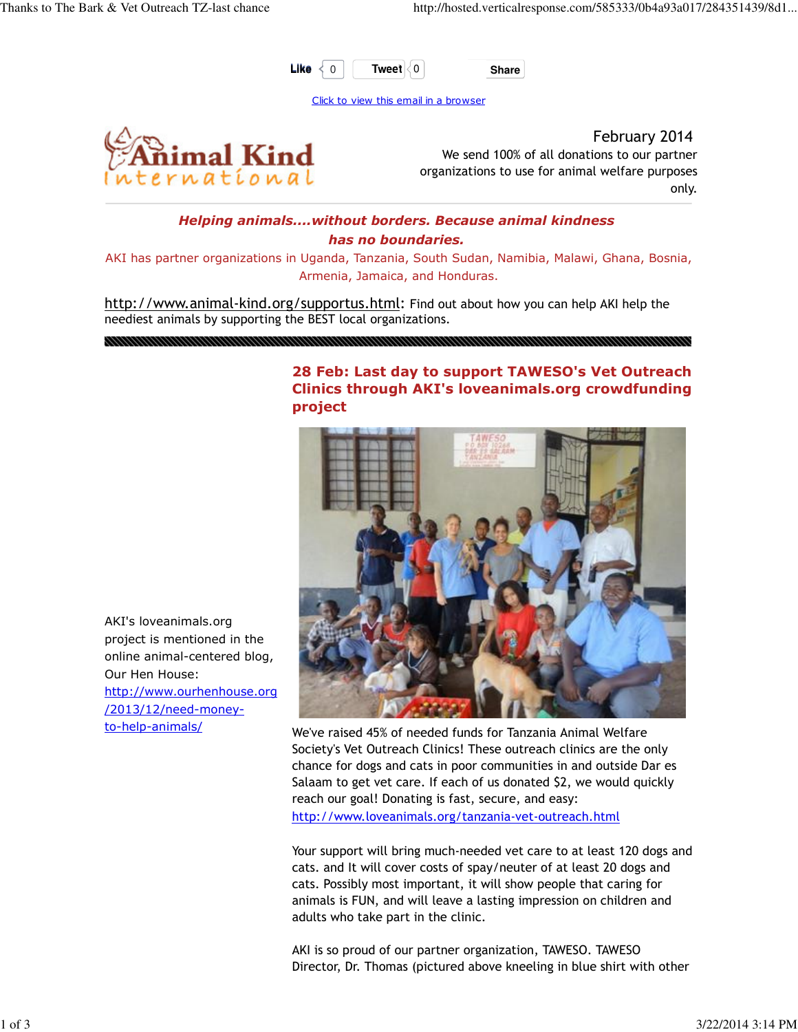

Click to view this email in a browser



February 2014 We send 100% of all donations to our partner organizations to use for animal welfare purposes only.

## Helping animals....without borders. Because animal kindness has no boundaries.

AKI has partner organizations in Uganda, Tanzania, South Sudan, Namibia, Malawi, Ghana, Bosnia, Armenia, Jamaica, and Honduras.

http://www.animal-kind.org/supportus.html: Find out about how you can help AKI help the neediest animals by supporting the BEST local organizations.

## 28 Feb: Last day to support TAWESO's Vet Outreach Clinics through AKI's loveanimals.org crowdfunding project



project is mentioned in the online animal-centered blog, Our Hen House: http://www.ourhenhouse.org /2013/12/need-moneyto-help-animals/

AKI's loveanimals.org

We've raised 45% of needed funds for Tanzania Animal Welfare Society's Vet Outreach Clinics! These outreach clinics are the only chance for dogs and cats in poor communities in and outside Dar es Salaam to get vet care. If each of us donated \$2, we would quickly reach our goal! Donating is fast, secure, and easy: http://www.loveanimals.org/tanzania-vet-outreach.html

Your support will bring much-needed vet care to at least 120 dogs and cats. and It will cover costs of spay/neuter of at least 20 dogs and cats. Possibly most important, it will show people that caring for animals is FUN, and will leave a lasting impression on children and adults who take part in the clinic.

AKI is so proud of our partner organization, TAWESO. TAWESO Director, Dr. Thomas (pictured above kneeling in blue shirt with other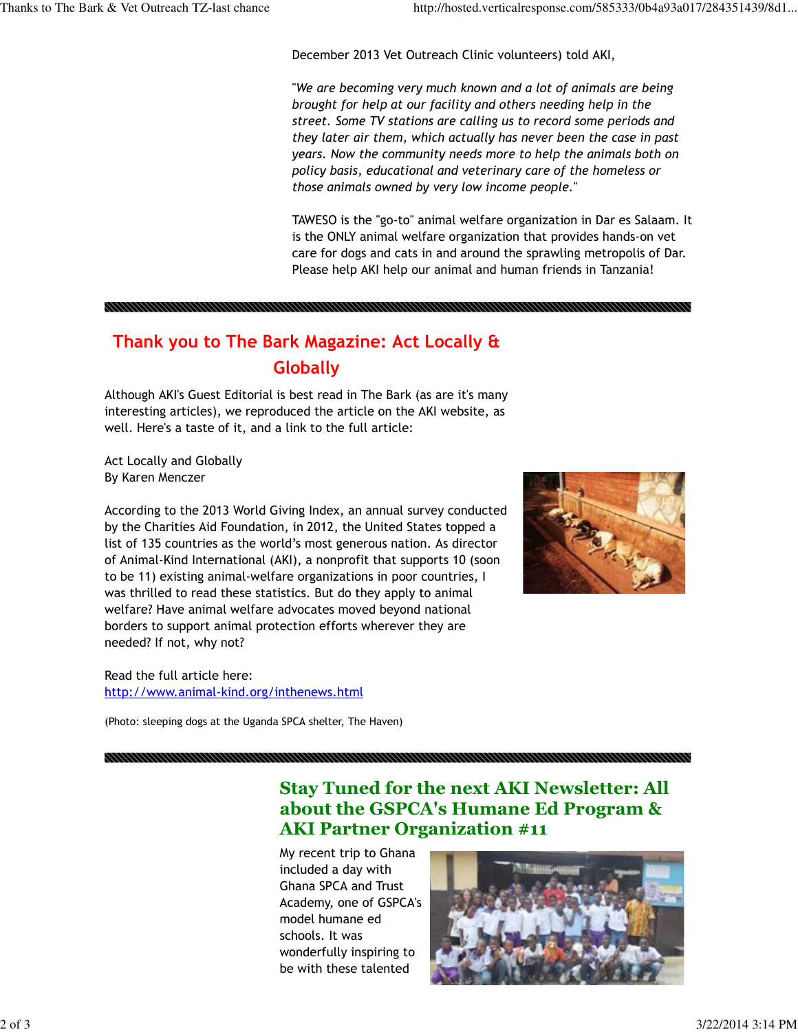December 2013 Vet Outreach Clinic volunteers) told AKI,

"We are becoming very much known and a lot of animals are being brought for help at our facility and others needing help in the street. Some TV stations are calling us to record some periods and they later air them, which actually has never been the case in past years. Now the community needs more to help the animals both on policy basis, educational and veterinary care of the homeless or those animals owned by very low income people."

TAWESO is the "go-to" animal welfare organization in Dar es Salaam. It is the ONLY animal welfare organization that provides hands-on vet care for dogs and cats in and around the sprawling metropolis of Dar. Please help AKI help our animal and human friends in Tanzania!

# Thank you to The Bark Magazine: Act Locally & **Globally**

Although AKI's Guest Editorial is best read in The Bark (as are it's many interesting articles), we reproduced the article on the AKI website, as well. Here's a taste of it, and a link to the full article:

Act Locally and Globally By Karen Menczer

According to the 2013 World Giving Index, an annual survey conducted by the Charities Aid Foundation, in 2012, the United States topped a list of 135 countries as the world's most generous nation. As director of Animal-Kind International (AKI), a nonprofit that supports 10 (soon to be 11) existing animal-welfare organizations in poor countries, I was thrilled to read these statistics. But do they apply to animal welfare? Have animal welfare advocates moved beyond national borders to support animal protection efforts wherever they are needed? If not, why not?

Read the full article here: http://www.animal-kind.org/inthenews.html

(Photo: sleeping dogs at the Uganda SPCA shelter, The Haven)

Stay Tuned for the next AKI Newsletter: All about the GSPCA's Humane Ed Program & AKI Partner Organization #11

My recent trip to Ghana included a day with Ghana SPCA and Trust Academy, one of GSPCA's model humane ed schools. It was wonderfully inspiring to be with these talented